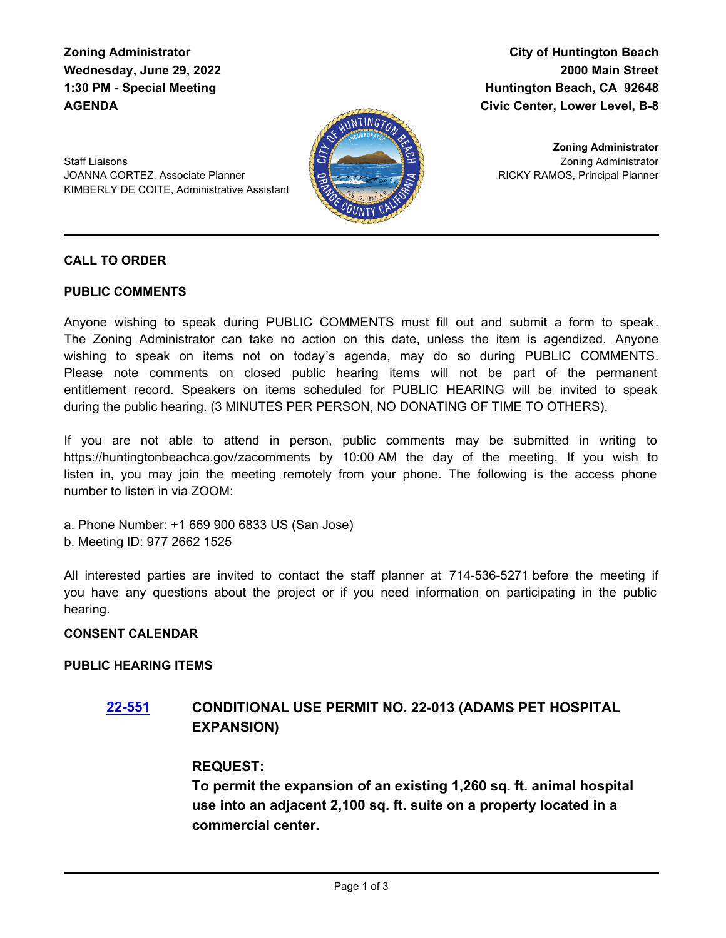**Zoning Administrator Wednesday, June 29, 2022 1:30 PM - Special Meeting AGENDA**

**City of Huntington Beach 2000 Main Street Huntington Beach, CA 92648 Civic Center, Lower Level, B-8**

Staff Liaisons JOANNA CORTEZ, Associate Planner KIMBERLY DE COITE, Administrative Assistant



Zoning Administrator RICKY RAMOS, Principal Planner **Zoning Administrator**

## **CALL TO ORDER**

#### **PUBLIC COMMENTS**

Anyone wishing to speak during PUBLIC COMMENTS must fill out and submit a form to speak. The Zoning Administrator can take no action on this date, unless the item is agendized. Anyone wishing to speak on items not on today's agenda, may do so during PUBLIC COMMENTS. Please note comments on closed public hearing items will not be part of the permanent entitlement record. Speakers on items scheduled for PUBLIC HEARING will be invited to speak during the public hearing. (3 MINUTES PER PERSON, NO DONATING OF TIME TO OTHERS).

If you are not able to attend in person, public comments may be submitted in writing to https://huntingtonbeachca.gov/zacomments by 10:00 AM the day of the meeting. If you wish to listen in, you may join the meeting remotely from your phone. The following is the access phone number to listen in via ZOOM:

- a. Phone Number: +1 669 900 6833 US (San Jose)
- b. Meeting ID: 977 2662 1525

All interested parties are invited to contact the staff planner at 714-536-5271 before the meeting if you have any questions about the project or if you need information on participating in the public hearing.

#### **CONSENT CALENDAR**

#### **PUBLIC HEARING ITEMS**

# **[22-551](http://huntingtonbeach.legistar.com/gateway.aspx?m=l&id=/matter.aspx?key=5663) CONDITIONAL USE PERMIT NO. 22-013 (ADAMS PET HOSPITAL EXPANSION)**

## **REQUEST:**

**To permit the expansion of an existing 1,260 sq. ft. animal hospital use into an adjacent 2,100 sq. ft. suite on a property located in a commercial center.**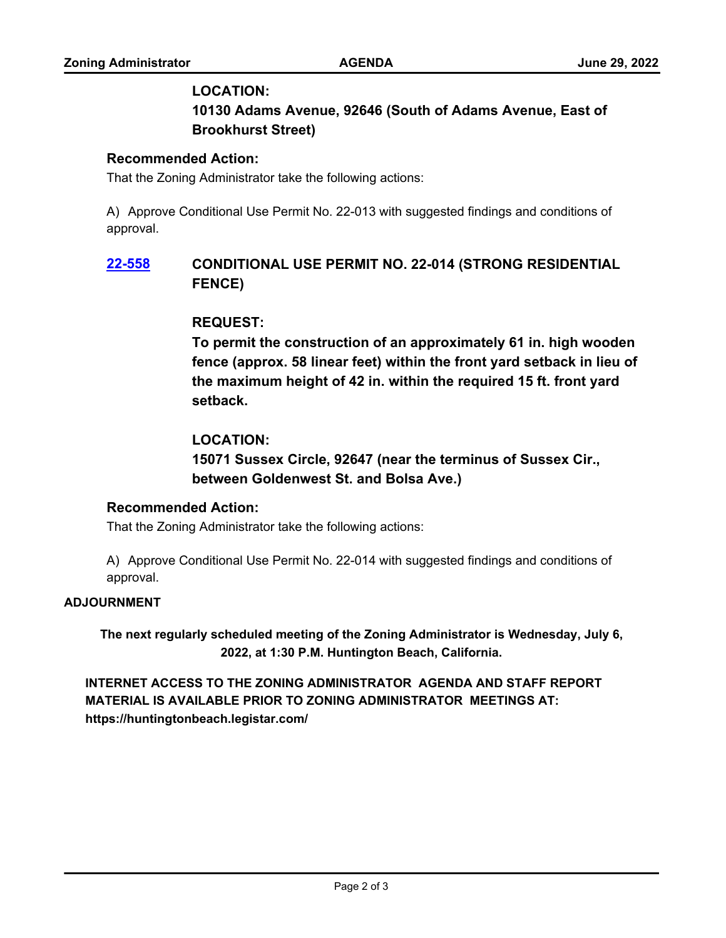## **LOCATION:**

**10130 Adams Avenue, 92646 (South of Adams Avenue, East of Brookhurst Street)**

## **Recommended Action:**

That the Zoning Administrator take the following actions:

A) Approve Conditional Use Permit No. 22-013 with suggested findings and conditions of approval.

# **[22-558](http://huntingtonbeach.legistar.com/gateway.aspx?m=l&id=/matter.aspx?key=5670) CONDITIONAL USE PERMIT NO. 22-014 (STRONG RESIDENTIAL FENCE)**

## **REQUEST:**

**To permit the construction of an approximately 61 in. high wooden fence (approx. 58 linear feet) within the front yard setback in lieu of the maximum height of 42 in. within the required 15 ft. front yard setback.**

## **LOCATION:**

**15071 Sussex Circle, 92647 (near the terminus of Sussex Cir., between Goldenwest St. and Bolsa Ave.)**

## **Recommended Action:**

That the Zoning Administrator take the following actions:

A) Approve Conditional Use Permit No. 22-014 with suggested findings and conditions of approval.

#### **ADJOURNMENT**

**The next regularly scheduled meeting of the Zoning Administrator is Wednesday, July 6, 2022, at 1:30 P.M. Huntington Beach, California.**

**INTERNET ACCESS TO THE ZONING ADMINISTRATOR AGENDA AND STAFF REPORT MATERIAL IS AVAILABLE PRIOR TO ZONING ADMINISTRATOR MEETINGS AT: https://huntingtonbeach.legistar.com/**